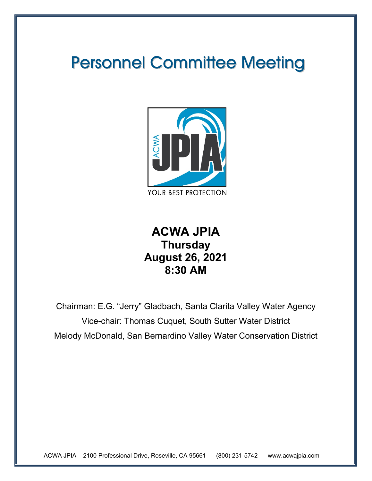# Personnel Committee Meeting



# **ACWA JPIA Thursday August 26, 2021 8:30 AM**

Chairman: E.G. "Jerry" Gladbach, Santa Clarita Valley Water Agency Vice-chair: Thomas Cuquet, South Sutter Water District Melody McDonald, San Bernardino Valley Water Conservation District

ACWA JPIA – 2100 Professional Drive, Roseville, CA 95661 – (800) 231-5742 – www.acwajpia.com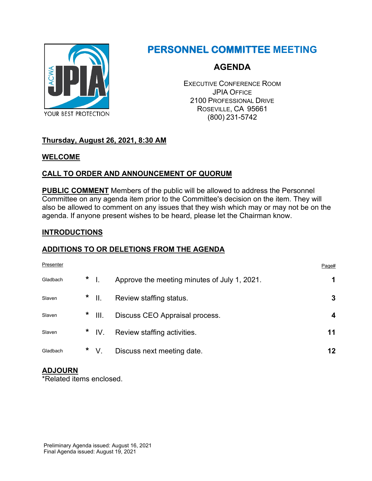

# **PERSONNEL COMMITTEE MEETING**

# **AGENDA**

EXECUTIVE CONFERENCE ROOM JPIA OFFICE 2100 PROFESSIONAL DRIVE ROSEVILLE, CA 95661 (800) 231-5742

# **Thursday, August 26, 2021, 8:30 AM**

# **WELCOME**

# **CALL TO ORDER AND ANNOUNCEMENT OF QUORUM**

**PUBLIC COMMENT** Members of the public will be allowed to address the Personnel Committee on any agenda item prior to the Committee's decision on the item. They will also be allowed to comment on any issues that they wish which may or may not be on the agenda. If anyone present wishes to be heard, please let the Chairman know.

## **INTRODUCTIONS**

# **ADDITIONS TO OR DELETIONS FROM THE AGENDA**

| Presenter |         |                   |                                              | Page# |
|-----------|---------|-------------------|----------------------------------------------|-------|
| Gladbach  | $\star$ |                   | Approve the meeting minutes of July 1, 2021. | 1     |
| Slaven    |         | $*$ $\parallel$ . | Review staffing status.                      | 3     |
| Slaven    |         | $*$ III.          | Discuss CEO Appraisal process.               |       |
| Slaven    |         | $*$ IV.           | Review staffing activities.                  | 11    |
| Gladbach  |         | $*$ V.            | Discuss next meeting date.                   | 12    |

# **ADJOURN**

\*Related items enclosed.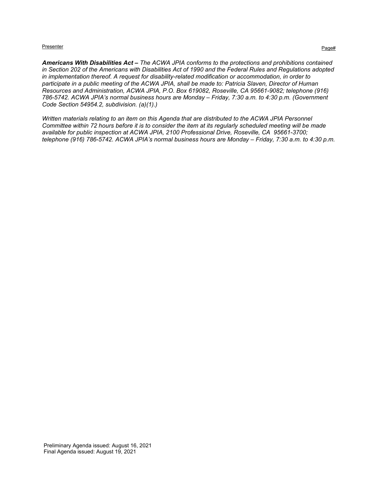#### Presenter Presenter Page that the experiment of the experiment of the experiment of the experiment of the experiment of the experiment of the experiment of the experiment of the experiment of the experiment of the experime

*Americans With Disabilities Act – The ACWA JPIA conforms to the protections and prohibitions contained in Section 202 of the Americans with Disabilities Act of 1990 and the Federal Rules and Regulations adopted in implementation thereof. A request for disability-related modification or accommodation, in order to participate in a public meeting of the ACWA JPIA, shall be made to: Patricia Slaven, Director of Human Resources and Administration, ACWA JPIA, P.O. Box 619082, Roseville, CA 95661-9082; telephone (916) 786-5742. ACWA JPIA's normal business hours are Monday – Friday, 7:30 a.m. to 4:30 p.m. (Government Code Section 54954.2, subdivision. (a)(1).)*

*Written materials relating to an item on this Agenda that are distributed to the ACWA JPIA Personnel Committee within 72 hours before it is to consider the item at its regularly scheduled meeting will be made available for public inspection at ACWA JPIA, 2100 Professional Drive, Roseville, CA 95661-3700; telephone (916) 786-5742. ACWA JPIA's normal business hours are Monday – Friday, 7:30 a.m. to 4:30 p.m.*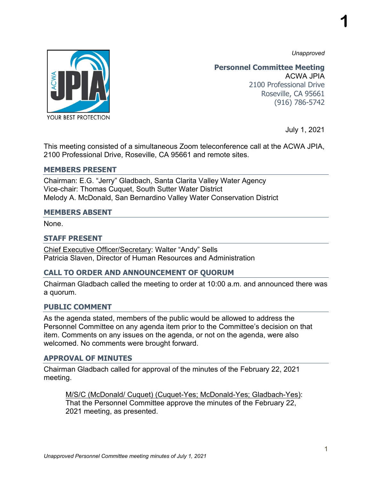*Unapproved*

**1**



**Personnel Committee Meeting** ACWA JPIA 2100 Professional Drive Roseville, CA 95661 (916) 786-5742

July 1, 2021

This meeting consisted of a simultaneous Zoom teleconference call at the ACWA JPIA, 2100 Professional Drive, Roseville, CA 95661 and remote sites.

#### **MEMBERS PRESENT**

Chairman: E.G. "Jerry" Gladbach, Santa Clarita Valley Water Agency Vice-chair: Thomas Cuquet, South Sutter Water District Melody A. McDonald, San Bernardino Valley Water Conservation District

#### **MEMBERS ABSENT**

None.

## **STAFF PRESENT**

Chief Executive Officer/Secretary: Walter "Andy" Sells Patricia Slaven, Director of Human Resources and Administration

# **CALL TO ORDER AND ANNOUNCEMENT OF QUORUM**

Chairman Gladbach called the meeting to order at 10:00 a.m. and announced there was a quorum.

## **PUBLIC COMMENT**

As the agenda stated, members of the public would be allowed to address the Personnel Committee on any agenda item prior to the Committee's decision on that item. Comments on any issues on the agenda, or not on the agenda, were also welcomed. No comments were brought forward.

## **APPROVAL OF MINUTES**

Chairman Gladbach called for approval of the minutes of the February 22, 2021 meeting.

M/S/C (McDonald/ Cuquet) (Cuquet-Yes; McDonald-Yes; Gladbach-Yes): That the Personnel Committee approve the minutes of the February 22, 2021 meeting, as presented.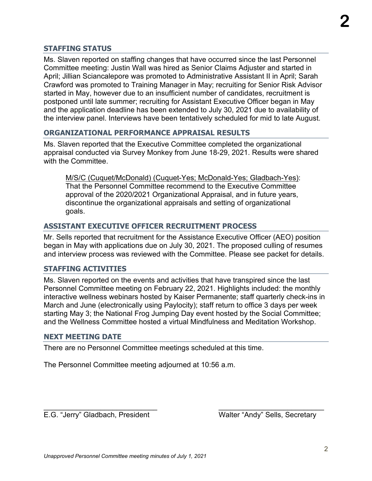# **STAFFING STATUS**

Ms. Slaven reported on staffing changes that have occurred since the last Personnel Committee meeting: Justin Wall was hired as Senior Claims Adjuster and started in April; Jillian Sciancalepore was promoted to Administrative Assistant II in April; Sarah Crawford was promoted to Training Manager in May; recruiting for Senior Risk Advisor started in May, however due to an insufficient number of candidates, recruitment is postponed until late summer; recruiting for Assistant Executive Officer began in May and the application deadline has been extended to July 30, 2021 due to availability of the interview panel. Interviews have been tentatively scheduled for mid to late August.

## **ORGANIZATIONAL PERFORMANCE APPRAISAL RESULTS**

Ms. Slaven reported that the Executive Committee completed the organizational appraisal conducted via Survey Monkey from June 18-29, 2021. Results were shared with the Committee.

M/S/C (Cuquet/McDonald) (Cuquet-Yes; McDonald-Yes; Gladbach-Yes): That the Personnel Committee recommend to the Executive Committee approval of the 2020/2021 Organizational Appraisal, and in future years, discontinue the organizational appraisals and setting of organizational goals.

# **ASSISTANT EXECUTIVE OFFICER RECRUITMENT PROCESS**

Mr. Sells reported that recruitment for the Assistance Executive Officer (AEO) position began in May with applications due on July 30, 2021. The proposed culling of resumes and interview process was reviewed with the Committee. Please see packet for details.

## **STAFFING ACTIVITIES**

Ms. Slaven reported on the events and activities that have transpired since the last Personnel Committee meeting on February 22, 2021. Highlights included: the monthly interactive wellness webinars hosted by Kaiser Permanente; staff quarterly check-ins in March and June (electronically using Paylocity); staff return to office 3 days per week starting May 3; the National Frog Jumping Day event hosted by the Social Committee; and the Wellness Committee hosted a virtual Mindfulness and Meditation Workshop.

## **NEXT MEETING DATE**

There are no Personnel Committee meetings scheduled at this time.

The Personnel Committee meeting adjourned at 10:56 a.m.

\_\_\_\_\_\_\_\_\_\_\_\_\_\_\_\_\_\_\_\_\_\_\_\_\_\_\_\_ \_\_\_\_\_\_\_\_\_\_\_\_\_\_\_\_\_\_\_\_\_\_\_\_\_\_ E.G. "Jerry" Gladbach, President Walter "Andy" Sells, Secretary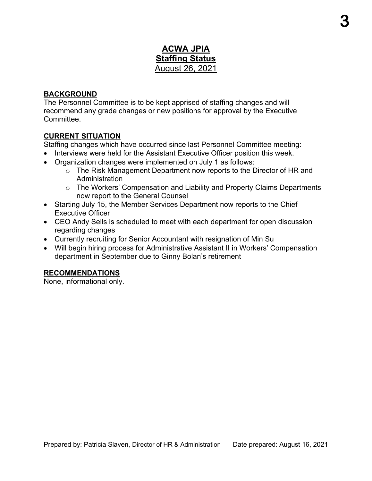# **ACWA JPIA Staffing Status** August 26, 2021

## **BACKGROUND**

The Personnel Committee is to be kept apprised of staffing changes and will recommend any grade changes or new positions for approval by the Executive Committee.

# **CURRENT SITUATION**

Staffing changes which have occurred since last Personnel Committee meeting:

- Interviews were held for the Assistant Executive Officer position this week.
- Organization changes were implemented on July 1 as follows:
	- o The Risk Management Department now reports to the Director of HR and **Administration**
	- o The Workers' Compensation and Liability and Property Claims Departments now report to the General Counsel
- Starting July 15, the Member Services Department now reports to the Chief Executive Officer
- CEO Andy Sells is scheduled to meet with each department for open discussion regarding changes
- Currently recruiting for Senior Accountant with resignation of Min Su
- Will begin hiring process for Administrative Assistant II in Workers' Compensation department in September due to Ginny Bolan's retirement

# **RECOMMENDATIONS**

None, informational only.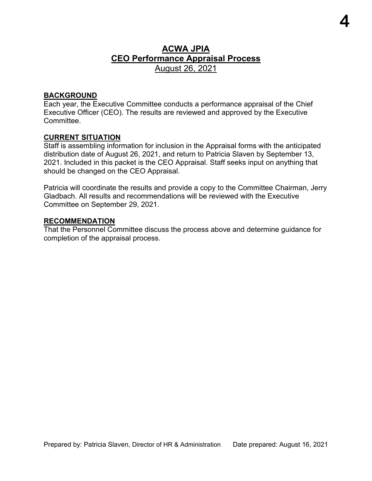# **ACWA JPIA CEO Performance Appraisal Process** August 26, 2021

**4**

## **BACKGROUND**

Each year, the Executive Committee conducts a performance appraisal of the Chief Executive Officer (CEO). The results are reviewed and approved by the Executive Committee.

# **CURRENT SITUATION**

Staff is assembling information for inclusion in the Appraisal forms with the anticipated distribution date of August 26, 2021, and return to Patricia Slaven by September 13, 2021. Included in this packet is the CEO Appraisal. Staff seeks input on anything that should be changed on the CEO Appraisal.

Patricia will coordinate the results and provide a copy to the Committee Chairman, Jerry Gladbach. All results and recommendations will be reviewed with the Executive Committee on September 29, 2021.

#### **RECOMMENDATION**

That the Personnel Committee discuss the process above and determine guidance for completion of the appraisal process.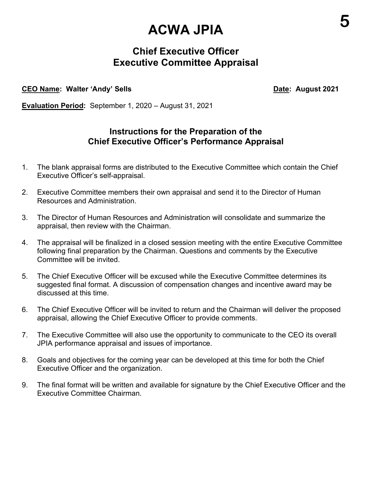# **ACWA JPIA**

# **Chief Executive Officer Executive Committee Appraisal**

# **CEO Name: Walter 'Andy' Sells Date: August 2021**

**Evaluation Period:** September 1, 2020 – August 31, 2021

# **Instructions for the Preparation of the Chief Executive Officer's Performance Appraisal**

- 1. The blank appraisal forms are distributed to the Executive Committee which contain the Chief Executive Officer's self-appraisal.
- 2. Executive Committee members their own appraisal and send it to the Director of Human Resources and Administration.
- 3. The Director of Human Resources and Administration will consolidate and summarize the appraisal, then review with the Chairman.
- 4. The appraisal will be finalized in a closed session meeting with the entire Executive Committee following final preparation by the Chairman. Questions and comments by the Executive Committee will be invited.
- 5. The Chief Executive Officer will be excused while the Executive Committee determines its suggested final format. A discussion of compensation changes and incentive award may be discussed at this time.
- 6. The Chief Executive Officer will be invited to return and the Chairman will deliver the proposed appraisal, allowing the Chief Executive Officer to provide comments.
- 7. The Executive Committee will also use the opportunity to communicate to the CEO its overall JPIA performance appraisal and issues of importance.
- 8. Goals and objectives for the coming year can be developed at this time for both the Chief Executive Officer and the organization.
- 9. The final format will be written and available for signature by the Chief Executive Officer and the Executive Committee Chairman.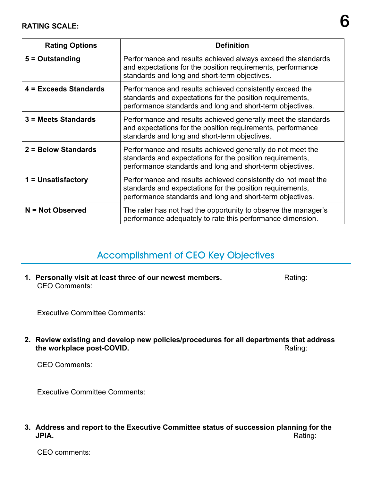| <b>Rating Options</b> | <b>Definition</b>                                                                                                                                                                       |
|-----------------------|-----------------------------------------------------------------------------------------------------------------------------------------------------------------------------------------|
| $5 =$ Outstanding     | Performance and results achieved always exceed the standards<br>and expectations for the position requirements, performance<br>standards and long and short-term objectives.            |
| 4 = Exceeds Standards | Performance and results achieved consistently exceed the<br>standards and expectations for the position requirements,<br>performance standards and long and short-term objectives.      |
| $3$ = Meets Standards | Performance and results achieved generally meet the standards<br>and expectations for the position requirements, performance<br>standards and long and short-term objectives.           |
| 2 = Below Standards   | Performance and results achieved generally do not meet the<br>standards and expectations for the position requirements,<br>performance standards and long and short-term objectives.    |
| 1 = Unsatisfactory    | Performance and results achieved consistently do not meet the<br>standards and expectations for the position requirements,<br>performance standards and long and short-term objectives. |
| $N = Not Observed$    | The rater has not had the opportunity to observe the manager's<br>performance adequately to rate this performance dimension.                                                            |

# Accomplishment of CEO Key Objectives

**1. Personally visit at least three of our newest members. Rating:** Rating: CEO Comments:

Executive Committee Comments:

**2. Review existing and develop new policies/procedures for all departments that address**  the workplace post-COVID.

CEO Comments:

Executive Committee Comments:

# **3. Address and report to the Executive Committee status of succession planning for the JPIA.** Rating:

CEO comments: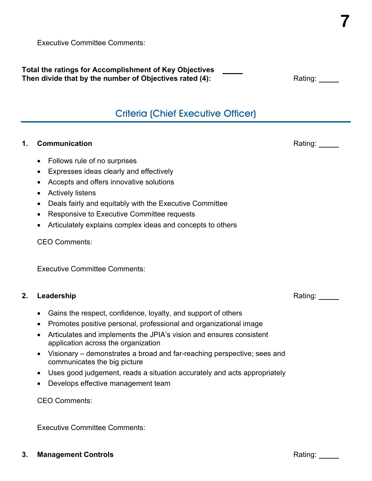Executive Committee Comments:

**Total the ratings for Accomplishment of Key Objectives Then divide that by the number of Objectives rated (4): Rating:** Rating: \_\_\_\_\_

# Criteria (Chief Executive Officer)

# **1. Communication Rating: Rating: Rating: Rating: Rating: Rating: Rating: Rating: Rating: Rating: Rating: Rating: RATING**

- Follows rule of no surprises
- Expresses ideas clearly and effectively
- Accepts and offers innovative solutions
- Actively listens
- Deals fairly and equitably with the Executive Committee
- Responsive to Executive Committee requests
- Articulately explains complex ideas and concepts to others

CEO Comments:

Executive Committee Comments:

## **2.** Leadership **Rating: Rating: Rating: Rating: Rating: Rating: Rating: Rating: Rating: Rating: Rating: Rating: Rating: Rating: Rating: Rating: Rating: Rating: Rating: Rating: Ratin**

- Gains the respect, confidence, loyalty, and support of others
- Promotes positive personal, professional and organizational image
- Articulates and implements the JPIA's vision and ensures consistent application across the organization
- Visionary demonstrates a broad and far-reaching perspective; sees and communicates the big picture
- Uses good judgement, reads a situation accurately and acts appropriately
- Develops effective management team

CEO Comments:

Executive Committee Comments: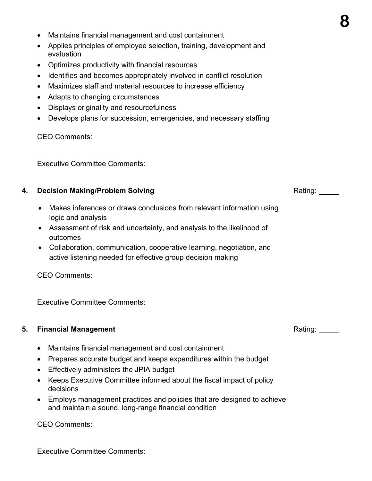- Maintains financial management and cost containment
- Applies principles of employee selection, training, development and evaluation
- Optimizes productivity with financial resources
- Identifies and becomes appropriately involved in conflict resolution
- Maximizes staff and material resources to increase efficiency
- Adapts to changing circumstances
- Displays originality and resourcefulness
- Develops plans for succession, emergencies, and necessary staffing

CEO Comments:

Executive Committee Comments:

# **4. Decision Making/Problem Solving <b>Contained a Contained Active** Rating:

- Makes inferences or draws conclusions from relevant information using logic and analysis
- Assessment of risk and uncertainty, and analysis to the likelihood of outcomes
- Collaboration, communication, cooperative learning, negotiation, and active listening needed for effective [group decision making](http://www.decision-making-solutions.com/group-decision-making-process.html)

CEO Comments:

Executive Committee Comments:

# **5. Financial Management Rating: Rating: Rating: Rating: Rating: Rating: Rating: Rating: Rating: Rating: Rating: Rating: Rating: Rating: Rating: Rating: Rating: Rating: Rating: Rat**

- Maintains financial management and cost containment
- Prepares accurate budget and keeps expenditures within the budget
- Effectively administers the JPIA budget
- Keeps Executive Committee informed about the fiscal impact of policy decisions
- Employs management practices and policies that are designed to achieve and maintain a sound, long-range financial condition

CEO Comments:

Executive Committee Comments: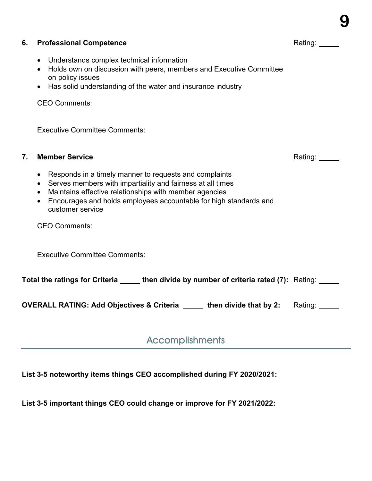| 6.                                                                     | <b>Professional Competence</b>                                                                                                                                                                                                                                                       | Rating: _____ |
|------------------------------------------------------------------------|--------------------------------------------------------------------------------------------------------------------------------------------------------------------------------------------------------------------------------------------------------------------------------------|---------------|
|                                                                        | Understands complex technical information<br>Holds own on discussion with peers, members and Executive Committee<br>$\bullet$<br>on policy issues<br>Has solid understanding of the water and insurance industry                                                                     |               |
|                                                                        | <b>CEO Comments:</b>                                                                                                                                                                                                                                                                 |               |
|                                                                        | <b>Executive Committee Comments:</b>                                                                                                                                                                                                                                                 |               |
| $\overline{7}$ .                                                       | <b>Member Service</b>                                                                                                                                                                                                                                                                | Rating: ___   |
|                                                                        | Responds in a timely manner to requests and complaints<br>Serves members with impartiality and fairness at all times<br>$\bullet$<br>Maintains effective relationships with member agencies<br>Encourages and holds employees accountable for high standards and<br>customer service |               |
|                                                                        | <b>CEO Comments:</b>                                                                                                                                                                                                                                                                 |               |
|                                                                        | <b>Executive Committee Comments:</b>                                                                                                                                                                                                                                                 |               |
|                                                                        | Total the ratings for Criteria ______ then divide by number of criteria rated (7): Rating: _____                                                                                                                                                                                     |               |
| OVERALL RATING: Add Objectives & Criteria _____ then divide that by 2: | Rating: ____                                                                                                                                                                                                                                                                         |               |

**9**

# **Accomplishments**

**List 3-5 noteworthy items things CEO accomplished during FY 2020/2021:** 

**List 3-5 important things CEO could change or improve for FY 2021/2022:**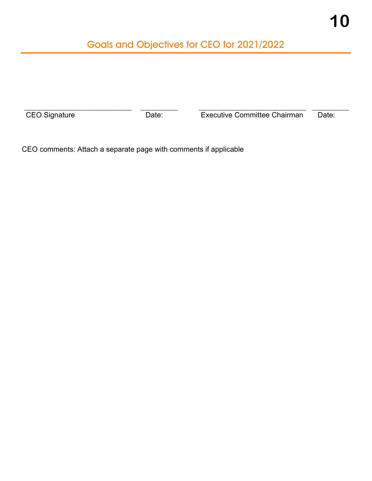# Goals and Objectives for CEO for 2021/2022

 $\_$  , and the set of the set of the set of the set of the set of the set of the set of the set of the set of the set of the set of the set of the set of the set of the set of the set of the set of the set of the set of th CEO Signature **Date:** Date: **Date:** Executive Committee Chairman Date:

CEO comments: Attach a separate page with comments if applicable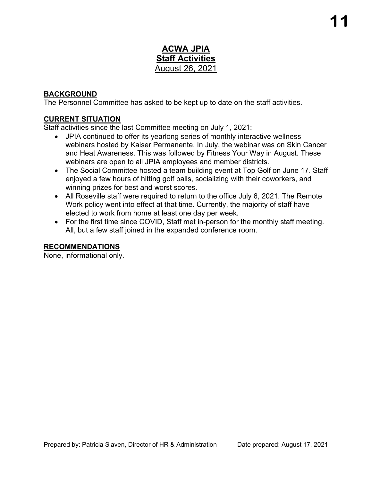# **ACWA JPIA Staff Activities** August 26, 2021

# **BACKGROUND**

The Personnel Committee has asked to be kept up to date on the staff activities.

## **CURRENT SITUATION**

Staff activities since the last Committee meeting on July 1, 2021:

- JPIA continued to offer its yearlong series of monthly interactive wellness webinars hosted by Kaiser Permanente. In July, the webinar was on Skin Cancer and Heat Awareness. This was followed by Fitness Your Way in August. These webinars are open to all JPIA employees and member districts.
- The Social Committee hosted a team building event at Top Golf on June 17. Staff enjoyed a few hours of hitting golf balls, socializing with their coworkers, and winning prizes for best and worst scores.
- All Roseville staff were required to return to the office July 6, 2021. The Remote Work policy went into effect at that time. Currently, the majority of staff have elected to work from home at least one day per week.
- For the first time since COVID, Staff met in-person for the monthly staff meeting. All, but a few staff joined in the expanded conference room.

# **RECOMMENDATIONS**

None, informational only.

**11**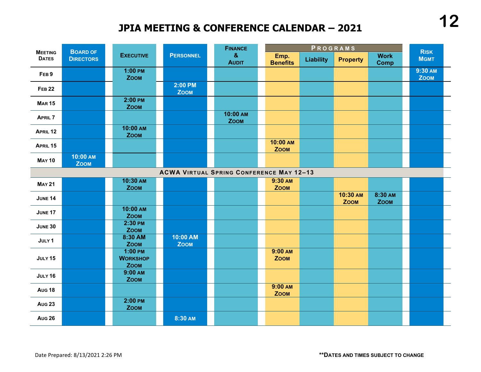# **JPIA MEETING & CONFERENCE CALENDAR – 2021**

| <b>MEETING</b>   | <b>BOARD OF</b><br><b>DIRECTORS</b>                                                                                                                                                                                                                                                                                                                                                                                    |  | <b>EXECUTIVE</b>         | <b>PERSONNEL</b>       | <b>FINANCE</b><br>$\pmb{8}$<br><b>AUDIT</b> | PROGRAMS    |                         |                  |                 |                            | <b>RISK</b> |                        |
|------------------|------------------------------------------------------------------------------------------------------------------------------------------------------------------------------------------------------------------------------------------------------------------------------------------------------------------------------------------------------------------------------------------------------------------------|--|--------------------------|------------------------|---------------------------------------------|-------------|-------------------------|------------------|-----------------|----------------------------|-------------|------------------------|
| <b>DATES</b>     |                                                                                                                                                                                                                                                                                                                                                                                                                        |  |                          |                        |                                             |             | Emp.<br><b>Benefits</b> | <b>Liability</b> | <b>Property</b> | <b>Work</b><br><b>Comp</b> |             | <b>MGMT</b>            |
| FEB <sub>9</sub> |                                                                                                                                                                                                                                                                                                                                                                                                                        |  | $1:00$ PM<br><b>ZOOM</b> |                        |                                             |             |                         |                  |                 |                            |             | 9:30 AM<br><b>ZOOM</b> |
| <b>FEB 22</b>    |                                                                                                                                                                                                                                                                                                                                                                                                                        |  |                          | 2:00 PM<br><b>ZOOM</b> |                                             |             |                         |                  |                 |                            |             |                        |
| <b>MAR 15</b>    |                                                                                                                                                                                                                                                                                                                                                                                                                        |  | <b>ZOOM</b>              |                        |                                             |             |                         |                  |                 |                            |             |                        |
| <b>APRIL 7</b>   |                                                                                                                                                                                                                                                                                                                                                                                                                        |  |                          |                        |                                             | <b>ZOOM</b> |                         |                  |                 |                            |             |                        |
| APRIL 12         |                                                                                                                                                                                                                                                                                                                                                                                                                        |  | <b>ZOOM</b>              |                        |                                             |             |                         |                  |                 |                            |             |                        |
| APRIL 15         |                                                                                                                                                                                                                                                                                                                                                                                                                        |  |                          |                        |                                             |             | <b>ZOOM</b>             |                  |                 |                            |             |                        |
| <b>MAY 10</b>    | <b>ZOOM</b>                                                                                                                                                                                                                                                                                                                                                                                                            |  |                          |                        |                                             |             |                         |                  |                 |                            |             |                        |
|                  | $2:00$ PM<br>10:00 AM<br>10:00 AM<br>10:00 AM<br>10:00 AM<br><b>ACWA VIRTUAL SPRING CONFERENCE MAY 12-13</b><br>10:30 AM<br>9:30 AM<br><b>ZOOM</b><br><b>ZOOM</b><br>10:30 AM<br>8:30 AM<br><b>ZOOM</b><br><b>ZOOM</b><br>10:00 AM<br><b>ZOOM</b><br>2:30 PM<br><b>ZOOM</b><br>8:30 AM<br>10:00 AM<br><b>ZOOM</b><br><b>ZOOM</b><br>$9:00$ AM<br>1:00 PM<br><b>ZOOM</b><br><b>WORKSHOP</b><br><b>ZOOM</b><br>$9:00$ AM |  |                          |                        |                                             |             |                         |                  |                 |                            |             |                        |
| <b>MAY 21</b>    |                                                                                                                                                                                                                                                                                                                                                                                                                        |  |                          |                        |                                             |             |                         |                  |                 |                            |             |                        |
| <b>JUNE 14</b>   |                                                                                                                                                                                                                                                                                                                                                                                                                        |  |                          |                        |                                             |             |                         |                  |                 |                            |             |                        |
| JUNE 17          |                                                                                                                                                                                                                                                                                                                                                                                                                        |  |                          |                        |                                             |             |                         |                  |                 |                            |             |                        |
| <b>JUNE 30</b>   |                                                                                                                                                                                                                                                                                                                                                                                                                        |  |                          |                        |                                             |             |                         |                  |                 |                            |             |                        |
| JULY 1           |                                                                                                                                                                                                                                                                                                                                                                                                                        |  |                          |                        |                                             |             |                         |                  |                 |                            |             |                        |
| JULY 15          |                                                                                                                                                                                                                                                                                                                                                                                                                        |  |                          |                        |                                             |             |                         |                  |                 |                            |             |                        |
| JULY 16          |                                                                                                                                                                                                                                                                                                                                                                                                                        |  | <b>ZOOM</b>              |                        |                                             |             |                         |                  |                 |                            |             |                        |
| Aug 18           |                                                                                                                                                                                                                                                                                                                                                                                                                        |  |                          |                        |                                             |             | 9:00 AM<br><b>ZOOM</b>  |                  |                 |                            |             |                        |
| <b>Aug 23</b>    |                                                                                                                                                                                                                                                                                                                                                                                                                        |  | $2:00$ PM<br><b>ZOOM</b> |                        |                                             |             |                         |                  |                 |                            |             |                        |
| <b>Aug 26</b>    |                                                                                                                                                                                                                                                                                                                                                                                                                        |  |                          | 8:30 AM                |                                             |             |                         |                  |                 |                            |             |                        |